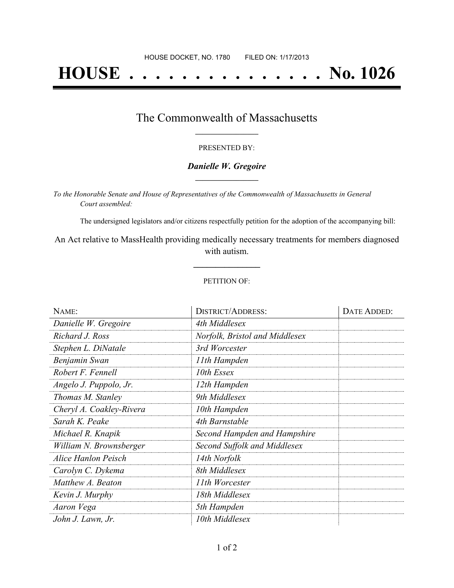# **HOUSE . . . . . . . . . . . . . . . No. 1026**

### The Commonwealth of Massachusetts **\_\_\_\_\_\_\_\_\_\_\_\_\_\_\_\_\_**

#### PRESENTED BY:

#### *Danielle W. Gregoire* **\_\_\_\_\_\_\_\_\_\_\_\_\_\_\_\_\_**

*To the Honorable Senate and House of Representatives of the Commonwealth of Massachusetts in General Court assembled:*

The undersigned legislators and/or citizens respectfully petition for the adoption of the accompanying bill:

An Act relative to MassHealth providing medically necessary treatments for members diagnosed with autism.

**\_\_\_\_\_\_\_\_\_\_\_\_\_\_\_**

#### PETITION OF:

| NAME:                    | <b>DISTRICT/ADDRESS:</b>       | DATE ADDED: |
|--------------------------|--------------------------------|-------------|
| Danielle W. Gregoire     | 4th Middlesex                  |             |
| Richard J. Ross          | Norfolk, Bristol and Middlesex |             |
| Stephen L. DiNatale      | 3rd Worcester                  |             |
| Benjamin Swan            | 11th Hampden                   |             |
| Robert F. Fennell        | 10th Essex                     |             |
| Angelo J. Puppolo, Jr.   | 12th Hampden                   |             |
| Thomas M. Stanley        | 9th Middlesex                  |             |
| Cheryl A. Coakley-Rivera | 10th Hampden                   |             |
| Sarah K. Peake           | 4th Barnstable                 |             |
| Michael R. Knapik        | Second Hampden and Hampshire   |             |
| William N. Brownsberger  | Second Suffolk and Middlesex   |             |
| Alice Hanlon Peisch      | 14th Norfolk                   |             |
| Carolyn C. Dykema        | 8th Middlesex                  |             |
| Matthew A. Beaton        | 11th Worcester                 |             |
| Kevin J. Murphy          | 18th Middlesex                 |             |
| Aaron Vega               | 5th Hampden                    |             |
| John J. Lawn, Jr.        | 10th Middlesex                 |             |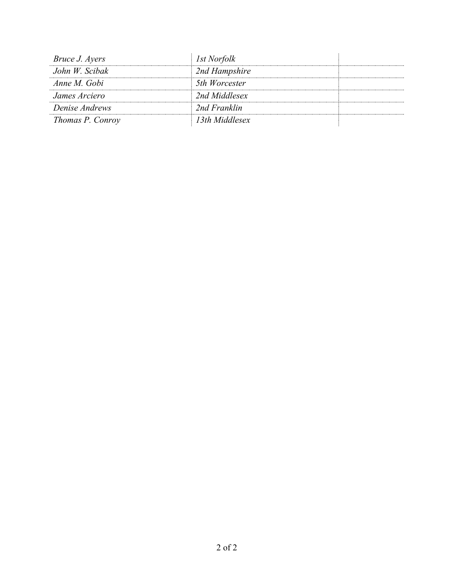| <i>Bruce J. Ayers</i> | <i>Ist Norfolk</i> |  |
|-----------------------|--------------------|--|
| John W. Scibak        | 2nd Hampshire      |  |
| Anne M. Gobi          | 5th Worcester      |  |
| James Arciero         | 2nd Middlesex      |  |
| Denise Andrews        | 2nd Franklin       |  |
| Thomas P. Conroy      | 13th Middlesex     |  |
|                       |                    |  |